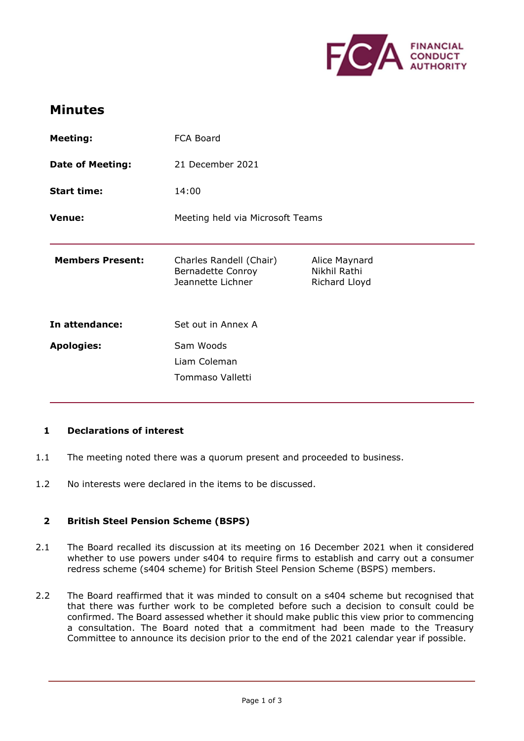

## Minutes

| <b>Meeting:</b>         | FCA Board                                                                |                                                |
|-------------------------|--------------------------------------------------------------------------|------------------------------------------------|
| <b>Date of Meeting:</b> | 21 December 2021                                                         |                                                |
| <b>Start time:</b>      | 14:00                                                                    |                                                |
| Venue:                  | Meeting held via Microsoft Teams                                         |                                                |
| <b>Members Present:</b> | Charles Randell (Chair)<br><b>Bernadette Conroy</b><br>Jeannette Lichner | Alice Maynard<br>Nikhil Rathi<br>Richard Lloyd |
| In attendance:          | Set out in Annex A                                                       |                                                |
| <b>Apologies:</b>       | Sam Woods<br>Liam Coleman<br>Tommaso Valletti                            |                                                |
|                         |                                                                          |                                                |

## 1 Declarations of interest

- 1.1 The meeting noted there was a quorum present and proceeded to business.
- 1.2 No interests were declared in the items to be discussed.

## 2 British Steel Pension Scheme (BSPS)

- 2.1 The Board recalled its discussion at its meeting on 16 December 2021 when it considered whether to use powers under s404 to require firms to establish and carry out a consumer redress scheme (s404 scheme) for British Steel Pension Scheme (BSPS) members.
- 2.2 The Board reaffirmed that it was minded to consult on a s404 scheme but recognised that that there was further work to be completed before such a decision to consult could be confirmed. The Board assessed whether it should make public this view prior to commencing a consultation. The Board noted that a commitment had been made to the Treasury Committee to announce its decision prior to the end of the 2021 calendar year if possible.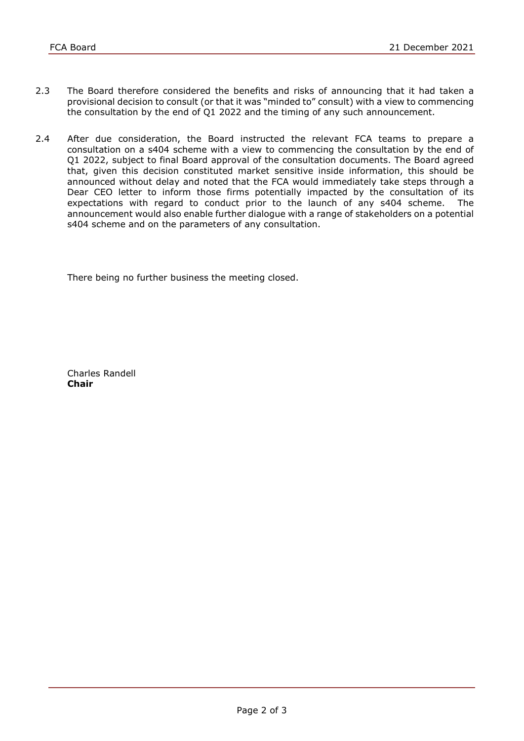- 2.3 The Board therefore considered the benefits and risks of announcing that it had taken a provisional decision to consult (or that it was "minded to" consult) with a view to commencing the consultation by the end of Q1 2022 and the timing of any such announcement.
- 2.4 After due consideration, the Board instructed the relevant FCA teams to prepare a consultation on a s404 scheme with a view to commencing the consultation by the end of Q1 2022, subject to final Board approval of the consultation documents. The Board agreed that, given this decision constituted market sensitive inside information, this should be announced without delay and noted that the FCA would immediately take steps through a Dear CEO letter to inform those firms potentially impacted by the consultation of its expectations with regard to conduct prior to the launch of any s404 scheme. The announcement would also enable further dialogue with a range of stakeholders on a potential s404 scheme and on the parameters of any consultation.

There being no further business the meeting closed.

 Charles Randell Chair